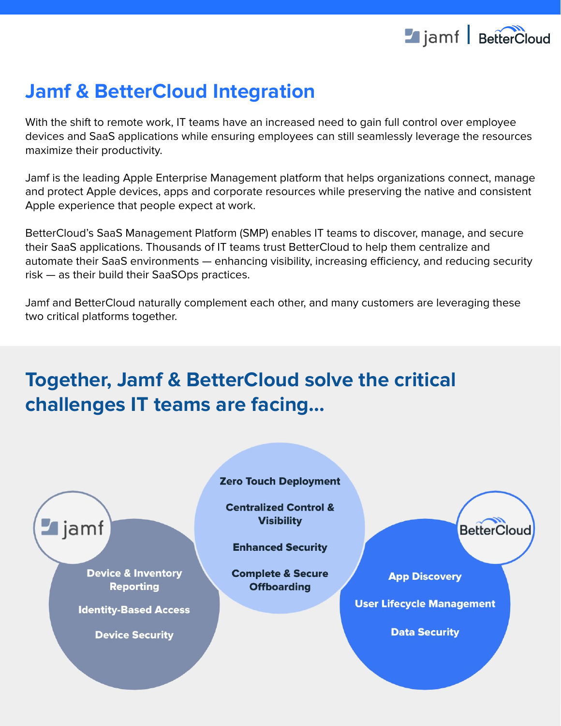

# **Jamf & BetterCloud Integration**

With the shift to remote work, IT teams have an increased need to gain full control over employee devices and SaaS applications while ensuring employees can still seamlessly leverage the resources maximize their productivity.

Jamf is the leading Apple Enterprise Management platform that helps organizations connect, manage and protect Apple devices, apps and corporate resources while preserving the native and consistent Apple experience that people expect at work.

BetterCloud's SaaS Management Platform (SMP) enables IT teams to discover, manage, and secure their SaaS applications. Thousands of IT teams trust BetterCloud to help them centralize and automate their SaaS environments — enhancing visibility, increasing efficiency, and reducing security risk — as their build their SaaSOps practices.

Jamf and BetterCloud naturally complement each other, and many customers are leveraging these two critical platforms together.

# **Together, Jamf & BetterCloud solve the critical challenges IT teams are facing...**